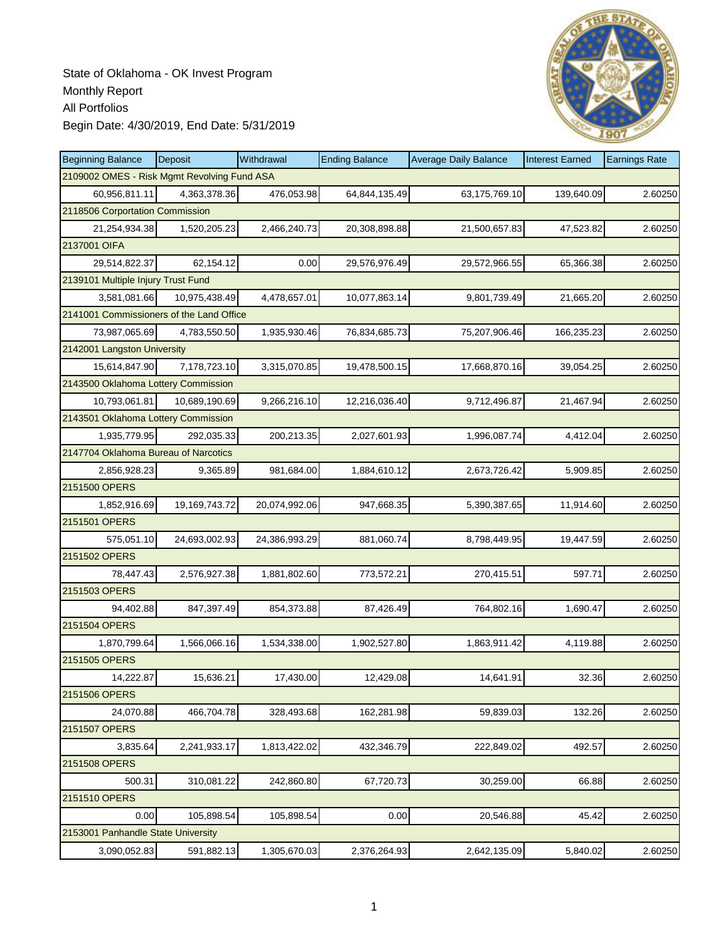

| <b>Beginning Balance</b>                    | Deposit       | Withdrawal    | <b>Ending Balance</b> | <b>Average Daily Balance</b> | <b>Interest Earned</b> | <b>Earnings Rate</b> |
|---------------------------------------------|---------------|---------------|-----------------------|------------------------------|------------------------|----------------------|
| 2109002 OMES - Risk Mgmt Revolving Fund ASA |               |               |                       |                              |                        |                      |
| 60,956,811.11                               | 4,363,378.36  | 476,053.98    | 64,844,135.49         | 63,175,769.10                | 139,640.09             | 2.60250              |
| 2118506 Corportation Commission             |               |               |                       |                              |                        |                      |
| 21,254,934.38                               | 1,520,205.23  | 2,466,240.73  | 20,308,898.88         | 21,500,657.83                | 47,523.82              | 2.60250              |
| 2137001 OIFA                                |               |               |                       |                              |                        |                      |
| 29,514,822.37                               | 62,154.12     | 0.00          | 29,576,976.49         | 29,572,966.55                | 65,366.38              | 2.60250              |
| 2139101 Multiple Injury Trust Fund          |               |               |                       |                              |                        |                      |
| 3,581,081.66                                | 10,975,438.49 | 4,478,657.01  | 10,077,863.14         | 9,801,739.49                 | 21,665.20              | 2.60250              |
| 2141001 Commissioners of the Land Office    |               |               |                       |                              |                        |                      |
| 73,987,065.69                               | 4,783,550.50  | 1,935,930.46  | 76,834,685.73         | 75,207,906.46                | 166,235.23             | 2.60250              |
| 2142001 Langston University                 |               |               |                       |                              |                        |                      |
| 15,614,847.90                               | 7,178,723.10  | 3,315,070.85  | 19,478,500.15         | 17,668,870.16                | 39,054.25              | 2.60250              |
| 2143500 Oklahoma Lottery Commission         |               |               |                       |                              |                        |                      |
| 10,793,061.81                               | 10.689.190.69 | 9,266,216.10  | 12,216,036.40         | 9,712,496.87                 | 21,467.94              | 2.60250              |
| 2143501 Oklahoma Lottery Commission         |               |               |                       |                              |                        |                      |
| 1,935,779.95                                | 292.035.33    | 200,213.35    | 2,027,601.93          | 1,996,087.74                 | 4,412.04               | 2.60250              |
| 2147704 Oklahoma Bureau of Narcotics        |               |               |                       |                              |                        |                      |
| 2,856,928.23                                | 9,365.89      | 981,684.00    | 1,884,610.12          | 2,673,726.42                 | 5,909.85               | 2.60250              |
| 2151500 OPERS                               |               |               |                       |                              |                        |                      |
| 1,852,916.69                                | 19,169,743.72 | 20,074,992.06 | 947,668.35            | 5,390,387.65                 | 11,914.60              | 2.60250              |
| 2151501 OPERS                               |               |               |                       |                              |                        |                      |
| 575,051.10                                  | 24,693,002.93 | 24,386,993.29 | 881,060.74            | 8,798,449.95                 | 19,447.59              | 2.60250              |
| 2151502 OPERS                               |               |               |                       |                              |                        |                      |
| 78,447.43                                   | 2,576,927.38  | 1,881,802.60  | 773,572.21            | 270,415.51                   | 597.71                 | 2.60250              |
| 2151503 OPERS                               |               |               |                       |                              |                        |                      |
| 94,402.88                                   | 847,397.49    | 854,373.88    | 87,426.49             | 764,802.16                   | 1,690.47               | 2.60250              |
| 2151504 OPERS                               |               |               |                       |                              |                        |                      |
| 1,870,799.64                                | 1,566,066.16  | 1,534,338.00  | 1,902,527.80          | 1,863,911.42                 | 4,119.88               | 2.60250              |
| 2151505 OPERS                               |               |               |                       |                              |                        |                      |
| 14,222.87                                   | 15,636.21     | 17,430.00     | 12,429.08             | 14,641.91                    | 32.36                  | 2.60250              |
| 2151506 OPERS                               |               |               |                       |                              |                        |                      |
| 24,070.88                                   | 466,704.78    | 328,493.68    | 162,281.98            | 59,839.03                    | 132.26                 | 2.60250              |
| 2151507 OPERS                               |               |               |                       |                              |                        |                      |
| 3,835.64                                    | 2,241,933.17  | 1,813,422.02  | 432,346.79            | 222,849.02                   | 492.57                 | 2.60250              |
| 2151508 OPERS                               |               |               |                       |                              |                        |                      |
| 500.31                                      | 310,081.22    | 242,860.80    | 67,720.73             | 30,259.00                    | 66.88                  | 2.60250              |
| 2151510 OPERS                               |               |               |                       |                              |                        |                      |
| 0.00                                        | 105,898.54    | 105,898.54    | 0.00                  | 20,546.88                    | 45.42                  | 2.60250              |
| 2153001 Panhandle State University          |               |               |                       |                              |                        |                      |
| 3,090,052.83                                | 591,882.13    | 1,305,670.03  | 2,376,264.93          | 2,642,135.09                 | 5,840.02               | 2.60250              |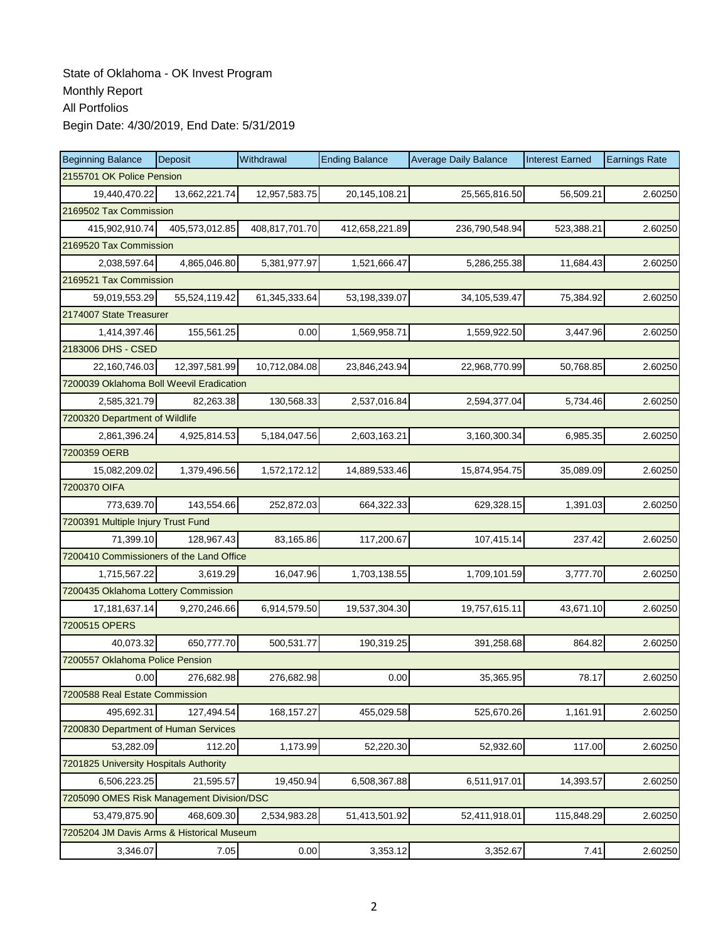| <b>Beginning Balance</b>                  | Deposit                | Withdrawal     | <b>Ending Balance</b> | <b>Average Daily Balance</b> | <b>Interest Earned</b> | <b>Earnings Rate</b> |  |  |  |  |
|-------------------------------------------|------------------------|----------------|-----------------------|------------------------------|------------------------|----------------------|--|--|--|--|
| 2155701 OK Police Pension                 |                        |                |                       |                              |                        |                      |  |  |  |  |
| 19,440,470.22                             | 13,662,221.74          | 12,957,583.75  | 20,145,108.21         | 25,565,816.50                | 56,509.21              | 2.60250              |  |  |  |  |
| 2169502 Tax Commission                    |                        |                |                       |                              |                        |                      |  |  |  |  |
| 415,902,910.74                            | 405,573,012.85         | 408,817,701.70 | 412,658,221.89        | 236,790,548.94               | 523,388.21             | 2.60250              |  |  |  |  |
|                                           | 2169520 Tax Commission |                |                       |                              |                        |                      |  |  |  |  |
| 2,038,597.64                              | 4,865,046.80           | 5,381,977.97   | 1,521,666.47          | 5,286,255.38                 | 11,684.43              | 2.60250              |  |  |  |  |
| 2169521 Tax Commission                    |                        |                |                       |                              |                        |                      |  |  |  |  |
| 59,019,553.29                             | 55,524,119.42          | 61,345,333.64  | 53,198,339.07         | 34,105,539.47                | 75,384.92              | 2.60250              |  |  |  |  |
| 2174007 State Treasurer                   |                        |                |                       |                              |                        |                      |  |  |  |  |
| 1,414,397.46                              | 155,561.25             | 0.00           | 1,569,958.71          | 1,559,922.50                 | 3,447.96               | 2.60250              |  |  |  |  |
| 2183006 DHS - CSED                        |                        |                |                       |                              |                        |                      |  |  |  |  |
| 22,160,746.03                             | 12,397,581.99          | 10,712,084.08  | 23,846,243.94         | 22,968,770.99                | 50,768.85              | 2.60250              |  |  |  |  |
| 7200039 Oklahoma Boll Weevil Eradication  |                        |                |                       |                              |                        |                      |  |  |  |  |
| 2,585,321.79                              | 82,263.38              | 130,568.33     | 2,537,016.84          | 2,594,377.04                 | 5,734.46               | 2.60250              |  |  |  |  |
| 7200320 Department of Wildlife            |                        |                |                       |                              |                        |                      |  |  |  |  |
| 2,861,396.24                              | 4,925,814.53           | 5,184,047.56   | 2,603,163.21          | 3,160,300.34                 | 6,985.35               | 2.60250              |  |  |  |  |
| 7200359 OERB                              |                        |                |                       |                              |                        |                      |  |  |  |  |
| 15,082,209.02                             | 1,379,496.56           | 1,572,172.12   | 14,889,533.46         | 15,874,954.75                | 35,089.09              | 2.60250              |  |  |  |  |
| 7200370 OIFA                              |                        |                |                       |                              |                        |                      |  |  |  |  |
| 773,639.70                                | 143,554.66             | 252,872.03     | 664,322.33            | 629,328.15                   | 1,391.03               | 2.60250              |  |  |  |  |
| 7200391 Multiple Injury Trust Fund        |                        |                |                       |                              |                        |                      |  |  |  |  |
| 71,399.10                                 | 128,967.43             | 83,165.86      | 117,200.67            | 107,415.14                   | 237.42                 | 2.60250              |  |  |  |  |
| 7200410 Commissioners of the Land Office  |                        |                |                       |                              |                        |                      |  |  |  |  |
| 1,715,567.22                              | 3,619.29               | 16,047.96      | 1,703,138.55          | 1,709,101.59                 | 3,777.70               | 2.60250              |  |  |  |  |
| 7200435 Oklahoma Lottery Commission       |                        |                |                       |                              |                        |                      |  |  |  |  |
| 17, 181, 637. 14                          | 9,270,246.66           | 6,914,579.50   | 19,537,304.30         | 19,757,615.11                | 43,671.10              | 2.60250              |  |  |  |  |
| 7200515 OPERS                             |                        |                |                       |                              |                        |                      |  |  |  |  |
| 40,073.32                                 | 650,777.70             | 500,531.77     | 190,319.25            | 391,258.68                   | 864.82                 | 2.60250              |  |  |  |  |
| 7200557 Oklahoma Police Pension           |                        |                |                       |                              |                        |                      |  |  |  |  |
| 0.00                                      | 276,682.98             | 276,682.98     | 0.00                  | 35,365.95                    | 78.17                  | 2.60250              |  |  |  |  |
| 7200588 Real Estate Commission            |                        |                |                       |                              |                        |                      |  |  |  |  |
| 495,692.31                                | 127,494.54             | 168, 157.27    | 455,029.58            | 525,670.26                   | 1,161.91               | 2.60250              |  |  |  |  |
| 7200830 Department of Human Services      |                        |                |                       |                              |                        |                      |  |  |  |  |
| 53,282.09                                 | 112.20                 | 1,173.99       | 52,220.30             | 52,932.60                    | 117.00                 | 2.60250              |  |  |  |  |
| 7201825 University Hospitals Authority    |                        |                |                       |                              |                        |                      |  |  |  |  |
| 6,506,223.25                              | 21,595.57              | 19,450.94      | 6,508,367.88          | 6,511,917.01                 | 14,393.57              | 2.60250              |  |  |  |  |
| 7205090 OMES Risk Management Division/DSC |                        |                |                       |                              |                        |                      |  |  |  |  |
| 53,479,875.90                             | 468,609.30             | 2,534,983.28   | 51,413,501.92         | 52,411,918.01                | 115,848.29             | 2.60250              |  |  |  |  |
| 7205204 JM Davis Arms & Historical Museum |                        |                |                       |                              |                        |                      |  |  |  |  |
| 3,346.07                                  | 7.05                   | 0.00           | 3,353.12              | 3,352.67                     | 7.41                   | 2.60250              |  |  |  |  |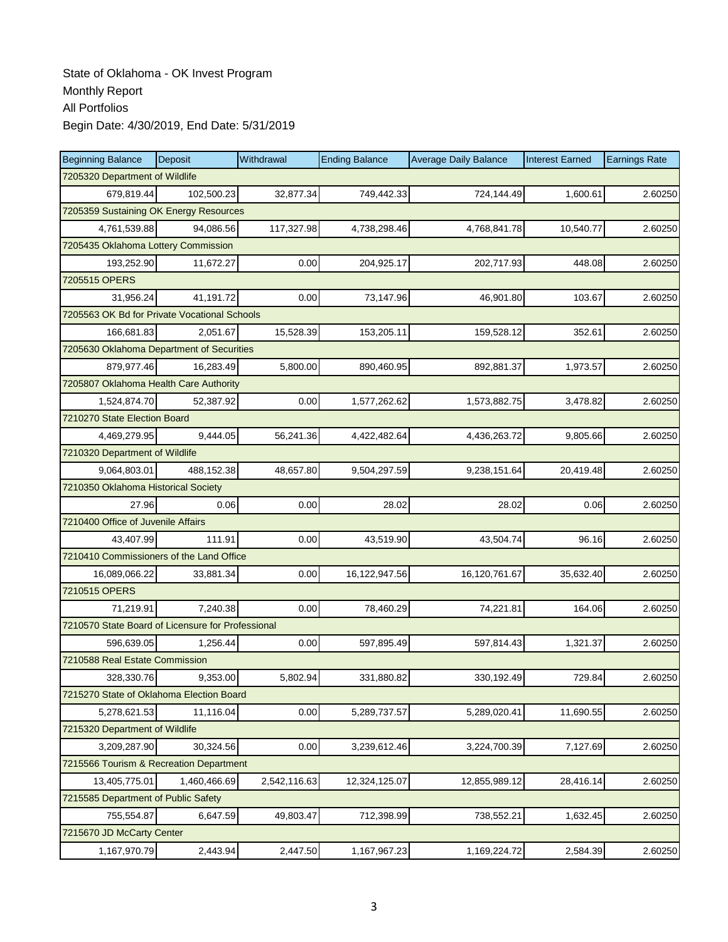| <b>Beginning Balance</b>                          | Deposit      | Withdrawal   | <b>Ending Balance</b> | <b>Average Daily Balance</b> | <b>Interest Earned</b> | <b>Earnings Rate</b> |  |  |  |
|---------------------------------------------------|--------------|--------------|-----------------------|------------------------------|------------------------|----------------------|--|--|--|
| 7205320 Department of Wildlife                    |              |              |                       |                              |                        |                      |  |  |  |
| 679,819.44                                        | 102,500.23   | 32,877.34    | 749,442.33            | 724,144.49                   | 1,600.61               | 2.60250              |  |  |  |
| 7205359 Sustaining OK Energy Resources            |              |              |                       |                              |                        |                      |  |  |  |
| 4,761,539.88                                      | 94,086.56    | 117,327.98   | 4,738,298.46          | 4,768,841.78                 | 10,540.77              | 2.60250              |  |  |  |
| 7205435 Oklahoma Lottery Commission               |              |              |                       |                              |                        |                      |  |  |  |
| 193,252.90                                        | 11,672.27    | 0.00         | 204,925.17            | 202,717.93                   | 448.08                 | 2.60250              |  |  |  |
| 7205515 OPERS                                     |              |              |                       |                              |                        |                      |  |  |  |
| 31,956.24                                         | 41,191.72    | 0.00         | 73,147.96             | 46.901.80                    | 103.67                 | 2.60250              |  |  |  |
| 7205563 OK Bd for Private Vocational Schools      |              |              |                       |                              |                        |                      |  |  |  |
| 166,681.83                                        | 2,051.67     | 15,528.39    | 153,205.11            | 159,528.12                   | 352.61                 | 2.60250              |  |  |  |
| 7205630 Oklahoma Department of Securities         |              |              |                       |                              |                        |                      |  |  |  |
| 879,977.46                                        | 16,283.49    | 5,800.00     | 890,460.95            | 892,881.37                   | 1,973.57               | 2.60250              |  |  |  |
| 7205807 Oklahoma Health Care Authority            |              |              |                       |                              |                        |                      |  |  |  |
| 1,524,874.70                                      | 52,387.92    | 0.00         | 1,577,262.62          | 1,573,882.75                 | 3,478.82               | 2.60250              |  |  |  |
| 7210270 State Election Board                      |              |              |                       |                              |                        |                      |  |  |  |
| 4,469,279.95                                      | 9,444.05     | 56,241.36    | 4,422,482.64          | 4,436,263.72                 | 9,805.66               | 2.60250              |  |  |  |
| 7210320 Department of Wildlife                    |              |              |                       |                              |                        |                      |  |  |  |
| 9,064,803.01                                      | 488,152.38   | 48,657.80    | 9,504,297.59          | 9,238,151.64                 | 20,419.48              | 2.60250              |  |  |  |
| 7210350 Oklahoma Historical Society               |              |              |                       |                              |                        |                      |  |  |  |
| 27.96                                             | 0.06         | 0.00         | 28.02                 | 28.02                        | 0.06                   | 2.60250              |  |  |  |
| 7210400 Office of Juvenile Affairs                |              |              |                       |                              |                        |                      |  |  |  |
| 43,407.99                                         | 111.91       | 0.00         | 43,519.90             | 43,504.74                    | 96.16                  | 2.60250              |  |  |  |
| 7210410 Commissioners of the Land Office          |              |              |                       |                              |                        |                      |  |  |  |
| 16,089,066.22                                     | 33,881.34    | 0.00         | 16,122,947.56         | 16,120,761.67                | 35,632.40              | 2.60250              |  |  |  |
| 7210515 OPERS                                     |              |              |                       |                              |                        |                      |  |  |  |
| 71,219.91                                         | 7,240.38     | 0.00         | 78,460.29             | 74,221.81                    | 164.06                 | 2.60250              |  |  |  |
| 7210570 State Board of Licensure for Professional |              |              |                       |                              |                        |                      |  |  |  |
| 596,639.05                                        | 1,256.44     | 0.00         | 597,895.49            | 597,814.43                   | 1,321.37               | 2.60250              |  |  |  |
| 7210588 Real Estate Commission                    |              |              |                       |                              |                        |                      |  |  |  |
| 328,330.76                                        | 9,353.00     | 5,802.94     | 331,880.82            | 330,192.49                   | 729.84                 | 2.60250              |  |  |  |
| 7215270 State of Oklahoma Election Board          |              |              |                       |                              |                        |                      |  |  |  |
| 5,278,621.53                                      | 11,116.04    | 0.00         | 5,289,737.57          | 5,289,020.41                 | 11,690.55              | 2.60250              |  |  |  |
| 7215320 Department of Wildlife                    |              |              |                       |                              |                        |                      |  |  |  |
| 3,209,287.90                                      | 30,324.56    | 0.00         | 3,239,612.46          | 3,224,700.39                 | 7,127.69               | 2.60250              |  |  |  |
| 7215566 Tourism & Recreation Department           |              |              |                       |                              |                        |                      |  |  |  |
| 13,405,775.01                                     | 1,460,466.69 | 2,542,116.63 | 12,324,125.07         | 12,855,989.12                | 28,416.14              | 2.60250              |  |  |  |
| 7215585 Department of Public Safety               |              |              |                       |                              |                        |                      |  |  |  |
| 755,554.87                                        | 6,647.59     | 49,803.47    | 712,398.99            | 738,552.21                   | 1,632.45               | 2.60250              |  |  |  |
| 7215670 JD McCarty Center                         |              |              |                       |                              |                        |                      |  |  |  |
| 1,167,970.79                                      | 2,443.94     | 2,447.50     | 1,167,967.23          | 1,169,224.72                 | 2,584.39               | 2.60250              |  |  |  |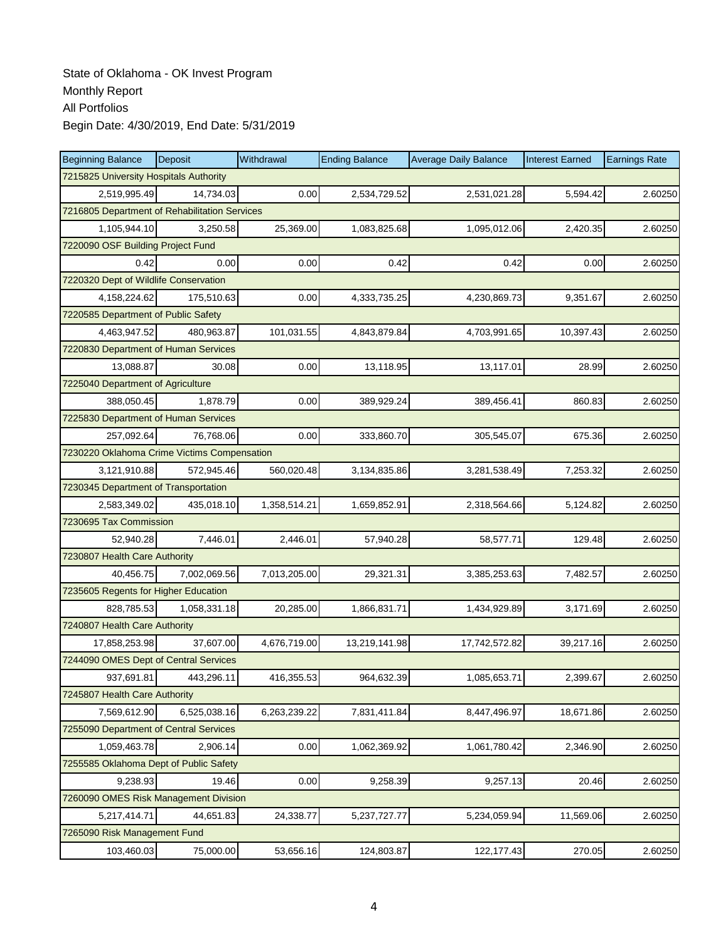| <b>Beginning Balance</b>                      | Deposit      | Withdrawal   | <b>Ending Balance</b> | <b>Average Daily Balance</b> | <b>Interest Earned</b> | <b>Earnings Rate</b> |  |  |
|-----------------------------------------------|--------------|--------------|-----------------------|------------------------------|------------------------|----------------------|--|--|
| 7215825 University Hospitals Authority        |              |              |                       |                              |                        |                      |  |  |
| 2,519,995.49                                  | 14,734.03    | 0.00         | 2,534,729.52          | 2,531,021.28                 | 5,594.42               | 2.60250              |  |  |
| 7216805 Department of Rehabilitation Services |              |              |                       |                              |                        |                      |  |  |
| 1,105,944.10                                  | 3,250.58     | 25,369.00    | 1,083,825.68          | 1,095,012.06                 | 2,420.35               | 2.60250              |  |  |
| 7220090 OSF Building Project Fund             |              |              |                       |                              |                        |                      |  |  |
| 0.42                                          | 0.00         | 0.00         | 0.42                  | 0.42                         | 0.00                   | 2.60250              |  |  |
| 7220320 Dept of Wildlife Conservation         |              |              |                       |                              |                        |                      |  |  |
| 4,158,224.62                                  | 175.510.63   | 0.00         | 4,333,735.25          | 4,230,869.73                 | 9,351.67               | 2.60250              |  |  |
| 7220585 Department of Public Safety           |              |              |                       |                              |                        |                      |  |  |
| 4,463,947.52                                  | 480,963.87   | 101,031.55   | 4,843,879.84          | 4,703,991.65                 | 10,397.43              | 2.60250              |  |  |
| 7220830 Department of Human Services          |              |              |                       |                              |                        |                      |  |  |
| 13,088.87                                     | 30.08        | 0.00         | 13,118.95             | 13,117.01                    | 28.99                  | 2.60250              |  |  |
| 7225040 Department of Agriculture             |              |              |                       |                              |                        |                      |  |  |
| 388,050.45                                    | 1.878.79     | 0.00         | 389,929.24            | 389,456.41                   | 860.83                 | 2.60250              |  |  |
| 7225830 Department of Human Services          |              |              |                       |                              |                        |                      |  |  |
| 257,092.64                                    | 76,768.06    | 0.00         | 333,860.70            | 305,545.07                   | 675.36                 | 2.60250              |  |  |
| 7230220 Oklahoma Crime Victims Compensation   |              |              |                       |                              |                        |                      |  |  |
| 3,121,910.88                                  | 572,945.46   | 560,020.48   | 3,134,835.86          | 3,281,538.49                 | 7,253.32               | 2.60250              |  |  |
| 7230345 Department of Transportation          |              |              |                       |                              |                        |                      |  |  |
| 2,583,349.02                                  | 435,018.10   | 1,358,514.21 | 1,659,852.91          | 2,318,564.66                 | 5,124.82               | 2.60250              |  |  |
| 7230695 Tax Commission                        |              |              |                       |                              |                        |                      |  |  |
| 52,940.28                                     | 7,446.01     | 2,446.01     | 57,940.28             | 58,577.71                    | 129.48                 | 2.60250              |  |  |
| 7230807 Health Care Authority                 |              |              |                       |                              |                        |                      |  |  |
| 40.456.75                                     | 7,002,069.56 | 7,013,205.00 | 29,321.31             | 3,385,253.63                 | 7,482.57               | 2.60250              |  |  |
| 7235605 Regents for Higher Education          |              |              |                       |                              |                        |                      |  |  |
| 828,785.53                                    | 1,058,331.18 | 20,285.00    | 1,866,831.71          | 1,434,929.89                 | 3,171.69               | 2.60250              |  |  |
| 7240807 Health Care Authority                 |              |              |                       |                              |                        |                      |  |  |
| 17,858,253.98                                 | 37.607.00    | 4,676,719.00 | 13,219,141.98         | 17,742,572.82                | 39,217.16              | 2.60250              |  |  |
| 7244090 OMES Dept of Central Services         |              |              |                       |                              |                        |                      |  |  |
| 937,691.81                                    | 443,296.11   | 416,355.53   | 964,632.39            | 1,085,653.71                 | 2,399.67               | 2.60250              |  |  |
| 7245807 Health Care Authority                 |              |              |                       |                              |                        |                      |  |  |
| 7,569,612.90                                  | 6,525,038.16 | 6,263,239.22 | 7,831,411.84          | 8,447,496.97                 | 18,671.86              | 2.60250              |  |  |
| 7255090 Department of Central Services        |              |              |                       |                              |                        |                      |  |  |
| 1,059,463.78                                  | 2,906.14     | 0.00         | 1,062,369.92          | 1,061,780.42                 | 2,346.90               | 2.60250              |  |  |
| 7255585 Oklahoma Dept of Public Safety        |              |              |                       |                              |                        |                      |  |  |
| 9,238.93                                      | 19.46        | 0.00         | 9,258.39              | 9,257.13                     | 20.46                  | 2.60250              |  |  |
| 7260090 OMES Risk Management Division         |              |              |                       |                              |                        |                      |  |  |
| 5,217,414.71                                  | 44,651.83    | 24,338.77    | 5,237,727.77          | 5,234,059.94                 | 11,569.06              | 2.60250              |  |  |
| 7265090 Risk Management Fund                  |              |              |                       |                              |                        |                      |  |  |
| 103,460.03                                    | 75,000.00    | 53,656.16    | 124,803.87            | 122, 177. 43                 | 270.05                 | 2.60250              |  |  |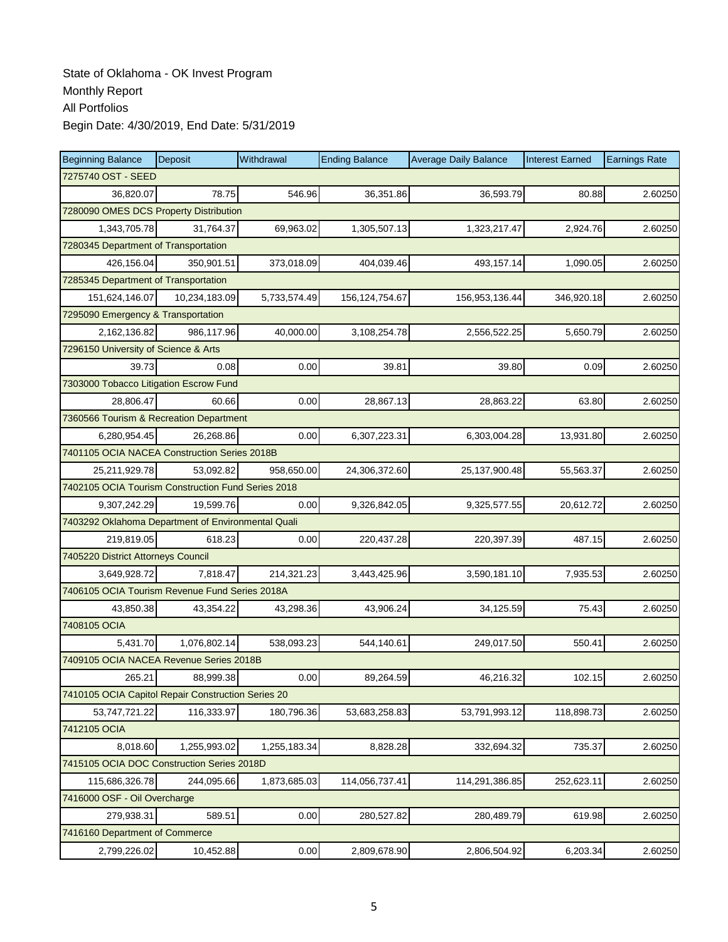| <b>Beginning Balance</b>                           | Deposit            | Withdrawal   | <b>Ending Balance</b> | <b>Average Daily Balance</b> | <b>Interest Earned</b> | <b>Earnings Rate</b> |  |  |  |
|----------------------------------------------------|--------------------|--------------|-----------------------|------------------------------|------------------------|----------------------|--|--|--|
|                                                    | 7275740 OST - SEED |              |                       |                              |                        |                      |  |  |  |
| 36,820.07                                          | 78.75              | 546.96       | 36,351.86             | 36,593.79                    | 80.88                  | 2.60250              |  |  |  |
| 7280090 OMES DCS Property Distribution             |                    |              |                       |                              |                        |                      |  |  |  |
| 1,343,705.78                                       | 31,764.37          | 69,963.02    | 1,305,507.13          | 1,323,217.47                 | 2,924.76               | 2.60250              |  |  |  |
| 7280345 Department of Transportation               |                    |              |                       |                              |                        |                      |  |  |  |
| 426,156.04                                         | 350,901.51         | 373,018.09   | 404,039.46            | 493,157.14                   | 1,090.05               | 2.60250              |  |  |  |
| 7285345 Department of Transportation               |                    |              |                       |                              |                        |                      |  |  |  |
| 151,624,146.07                                     | 10,234,183.09      | 5,733,574.49 | 156, 124, 754. 67     | 156,953,136.44               | 346,920.18             | 2.60250              |  |  |  |
| 7295090 Emergency & Transportation                 |                    |              |                       |                              |                        |                      |  |  |  |
| 2,162,136.82                                       | 986,117.96         | 40,000.00    | 3,108,254.78          | 2,556,522.25                 | 5,650.79               | 2.60250              |  |  |  |
| 7296150 University of Science & Arts               |                    |              |                       |                              |                        |                      |  |  |  |
| 39.73                                              | 0.08               | 0.00         | 39.81                 | 39.80                        | 0.09                   | 2.60250              |  |  |  |
| 7303000 Tobacco Litigation Escrow Fund             |                    |              |                       |                              |                        |                      |  |  |  |
| 28,806.47                                          | 60.66              | 0.00         | 28,867.13             | 28,863.22                    | 63.80                  | 2.60250              |  |  |  |
| 7360566 Tourism & Recreation Department            |                    |              |                       |                              |                        |                      |  |  |  |
| 6,280,954.45                                       | 26,268.86          | 0.00         | 6,307,223.31          | 6,303,004.28                 | 13,931.80              | 2.60250              |  |  |  |
| 7401105 OCIA NACEA Construction Series 2018B       |                    |              |                       |                              |                        |                      |  |  |  |
| 25,211,929.78                                      | 53,092.82          | 958,650.00   | 24,306,372.60         | 25, 137, 900. 48             | 55,563.37              | 2.60250              |  |  |  |
| 7402105 OCIA Tourism Construction Fund Series 2018 |                    |              |                       |                              |                        |                      |  |  |  |
| 9,307,242.29                                       | 19,599.76          | 0.00         | 9,326,842.05          | 9,325,577.55                 | 20,612.72              | 2.60250              |  |  |  |
| 7403292 Oklahoma Department of Environmental Quali |                    |              |                       |                              |                        |                      |  |  |  |
| 219,819.05                                         | 618.23             | 0.00         | 220,437.28            | 220,397.39                   | 487.15                 | 2.60250              |  |  |  |
| 7405220 District Attorneys Council                 |                    |              |                       |                              |                        |                      |  |  |  |
| 3,649,928.72                                       | 7,818.47           | 214,321.23   | 3,443,425.96          | 3,590,181.10                 | 7,935.53               | 2.60250              |  |  |  |
| 7406105 OCIA Tourism Revenue Fund Series 2018A     |                    |              |                       |                              |                        |                      |  |  |  |
| 43,850.38                                          | 43,354.22          | 43,298.36    | 43,906.24             | 34,125.59                    | 75.43                  | 2.60250              |  |  |  |
| 7408105 OCIA                                       |                    |              |                       |                              |                        |                      |  |  |  |
| 5,431.70                                           | 1,076,802.14       | 538,093.23   | 544,140.61            | 249,017.50                   | 550.41                 | 2.60250              |  |  |  |
| 7409105 OCIA NACEA Revenue Series 2018B            |                    |              |                       |                              |                        |                      |  |  |  |
| 265.21                                             | 88,999.38          | 0.00         | 89,264.59             | 46,216.32                    | 102.15                 | 2.60250              |  |  |  |
| 7410105 OCIA Capitol Repair Construction Series 20 |                    |              |                       |                              |                        |                      |  |  |  |
| 53,747,721.22                                      | 116,333.97         | 180,796.36   | 53,683,258.83         | 53,791,993.12                | 118,898.73             | 2.60250              |  |  |  |
| 7412105 OCIA                                       |                    |              |                       |                              |                        |                      |  |  |  |
| 8,018.60                                           | 1,255,993.02       | 1,255,183.34 | 8,828.28              | 332,694.32                   | 735.37                 | 2.60250              |  |  |  |
| 7415105 OCIA DOC Construction Series 2018D         |                    |              |                       |                              |                        |                      |  |  |  |
| 115,686,326.78                                     | 244,095.66         | 1,873,685.03 | 114,056,737.41        | 114,291,386.85               | 252,623.11             | 2.60250              |  |  |  |
| 7416000 OSF - Oil Overcharge                       |                    |              |                       |                              |                        |                      |  |  |  |
| 279,938.31                                         | 589.51             | 0.00         | 280,527.82            | 280,489.79                   | 619.98                 | 2.60250              |  |  |  |
| 7416160 Department of Commerce                     |                    |              |                       |                              |                        |                      |  |  |  |
| 2,799,226.02                                       | 10,452.88          | 0.00         | 2,809,678.90          | 2,806,504.92                 | 6,203.34               | 2.60250              |  |  |  |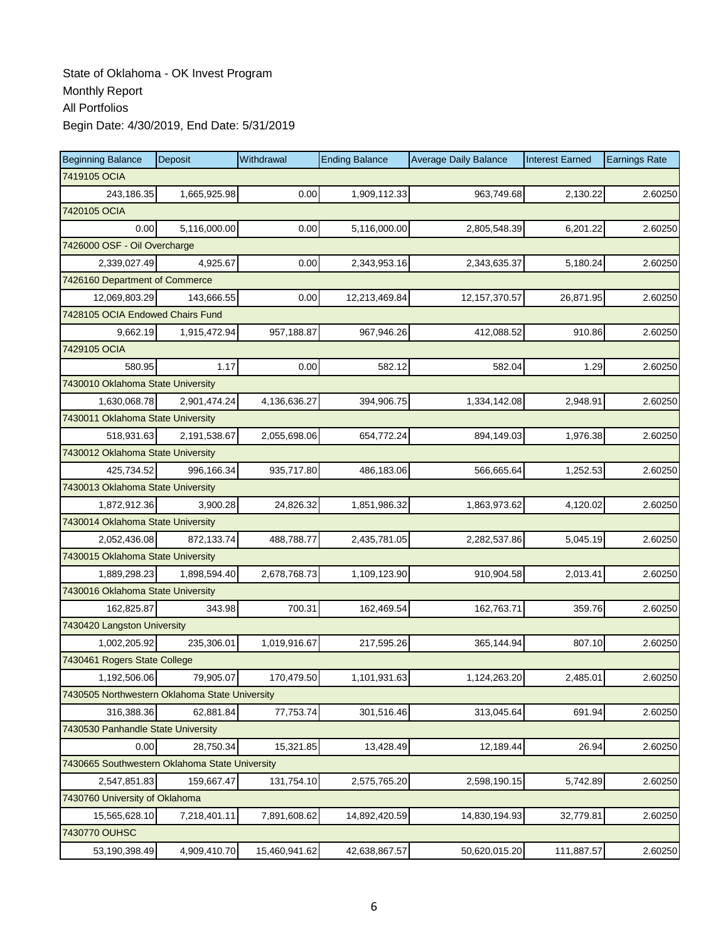| <b>Beginning Balance</b>                       | Deposit      | Withdrawal    | <b>Ending Balance</b> | <b>Average Daily Balance</b> | <b>Interest Earned</b> | <b>Earnings Rate</b> |  |  |
|------------------------------------------------|--------------|---------------|-----------------------|------------------------------|------------------------|----------------------|--|--|
| 7419105 OCIA                                   |              |               |                       |                              |                        |                      |  |  |
| 243,186.35                                     | 1,665,925.98 | 0.00          | 1,909,112.33          | 963,749.68                   | 2,130.22               | 2.60250              |  |  |
| 7420105 OCIA                                   |              |               |                       |                              |                        |                      |  |  |
| 0.00                                           | 5,116,000.00 | 0.00          | 5,116,000.00          | 2,805,548.39                 | 6,201.22               | 2.60250              |  |  |
| 7426000 OSF - Oil Overcharge                   |              |               |                       |                              |                        |                      |  |  |
| 2,339,027.49                                   | 4,925.67     | 0.00          | 2,343,953.16          | 2,343,635.37                 | 5,180.24               | 2.60250              |  |  |
| 7426160 Department of Commerce                 |              |               |                       |                              |                        |                      |  |  |
| 12,069,803.29                                  | 143,666.55   | 0.00          | 12,213,469.84         | 12, 157, 370.57              | 26,871.95              | 2.60250              |  |  |
| 7428105 OCIA Endowed Chairs Fund               |              |               |                       |                              |                        |                      |  |  |
| 9,662.19                                       | 1,915,472.94 | 957,188.87    | 967,946.26            | 412,088.52                   | 910.86                 | 2.60250              |  |  |
| 7429105 OCIA                                   |              |               |                       |                              |                        |                      |  |  |
| 580.95                                         | 1.17         | 0.00          | 582.12                | 582.04                       | 1.29                   | 2.60250              |  |  |
| 7430010 Oklahoma State University              |              |               |                       |                              |                        |                      |  |  |
| 1,630,068.78                                   | 2,901,474.24 | 4,136,636.27  | 394,906.75            | 1,334,142.08                 | 2,948.91               | 2.60250              |  |  |
| 7430011 Oklahoma State University              |              |               |                       |                              |                        |                      |  |  |
| 518,931.63                                     | 2,191,538.67 | 2,055,698.06  | 654,772.24            | 894,149.03                   | 1,976.38               | 2.60250              |  |  |
| 7430012 Oklahoma State University              |              |               |                       |                              |                        |                      |  |  |
| 425,734.52                                     | 996,166.34   | 935,717.80    | 486,183.06            | 566,665.64                   | 1,252.53               | 2.60250              |  |  |
| 7430013 Oklahoma State University              |              |               |                       |                              |                        |                      |  |  |
| 1,872,912.36                                   | 3,900.28     | 24,826.32     | 1,851,986.32          | 1,863,973.62                 | 4,120.02               | 2.60250              |  |  |
| 7430014 Oklahoma State University              |              |               |                       |                              |                        |                      |  |  |
| 2,052,436.08                                   | 872,133.74   | 488,788.77    | 2,435,781.05          | 2,282,537.86                 | 5,045.19               | 2.60250              |  |  |
| 7430015 Oklahoma State University              |              |               |                       |                              |                        |                      |  |  |
| 1,889,298.23                                   | 1,898,594.40 | 2,678,768.73  | 1,109,123.90          | 910,904.58                   | 2,013.41               | 2.60250              |  |  |
| 7430016 Oklahoma State University              |              |               |                       |                              |                        |                      |  |  |
| 162,825.87                                     | 343.98       | 700.31        | 162,469.54            | 162,763.71                   | 359.76                 | 2.60250              |  |  |
| 7430420 Langston University                    |              |               |                       |                              |                        |                      |  |  |
| 1,002,205.92                                   | 235,306.01   | 1,019,916.67  | 217,595.26            | 365,144.94                   | 807.10                 | 2.60250              |  |  |
| 7430461 Rogers State College                   |              |               |                       |                              |                        |                      |  |  |
| 1,192,506.06                                   | 79,905.07    | 170,479.50    | 1,101,931.63          | 1,124,263.20                 | 2,485.01               | 2.60250              |  |  |
| 7430505 Northwestern Oklahoma State University |              |               |                       |                              |                        |                      |  |  |
| 316,388.36                                     | 62,881.84    | 77,753.74     | 301,516.46            | 313,045.64                   | 691.94                 | 2.60250              |  |  |
| 7430530 Panhandle State University             |              |               |                       |                              |                        |                      |  |  |
| 0.00                                           | 28,750.34    | 15,321.85     | 13,428.49             | 12,189.44                    | 26.94                  | 2.60250              |  |  |
| 7430665 Southwestern Oklahoma State University |              |               |                       |                              |                        |                      |  |  |
| 2,547,851.83                                   | 159,667.47   | 131,754.10    | 2,575,765.20          | 2,598,190.15                 | 5,742.89               | 2.60250              |  |  |
| 7430760 University of Oklahoma                 |              |               |                       |                              |                        |                      |  |  |
| 15,565,628.10                                  | 7,218,401.11 | 7,891,608.62  | 14,892,420.59         | 14,830,194.93                | 32,779.81              | 2.60250              |  |  |
| 7430770 OUHSC                                  |              |               |                       |                              |                        |                      |  |  |
| 53,190,398.49                                  | 4,909,410.70 | 15,460,941.62 | 42,638,867.57         | 50,620,015.20                | 111,887.57             | 2.60250              |  |  |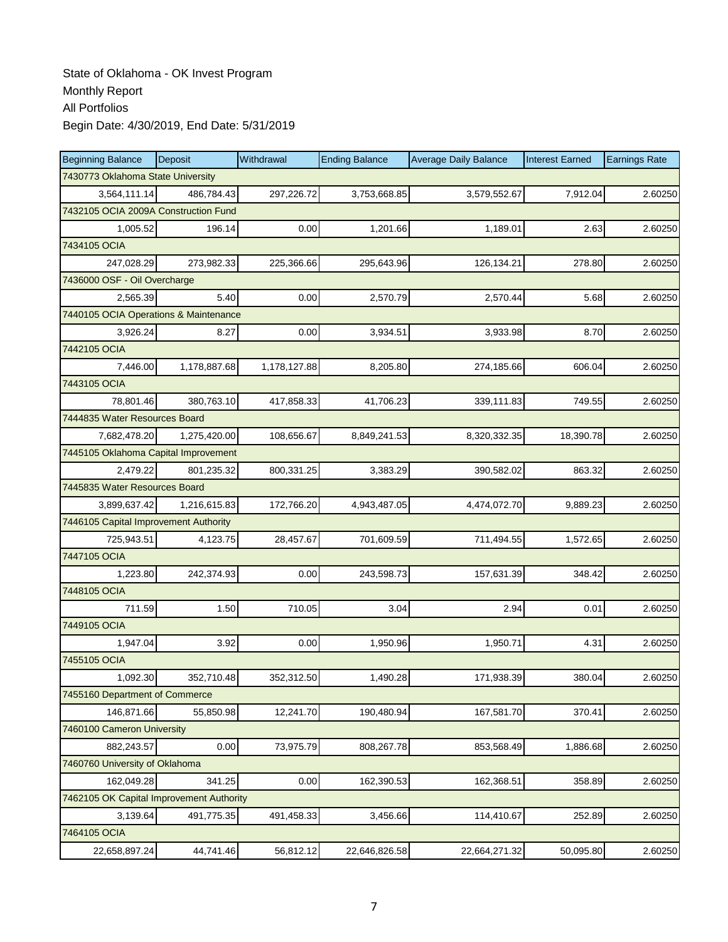| <b>Beginning Balance</b>                 | Deposit      | Withdrawal   | <b>Ending Balance</b> | <b>Average Daily Balance</b> | <b>Interest Earned</b> | <b>Earnings Rate</b> |  |  |
|------------------------------------------|--------------|--------------|-----------------------|------------------------------|------------------------|----------------------|--|--|
| 7430773 Oklahoma State University        |              |              |                       |                              |                        |                      |  |  |
| 3,564,111.14                             | 486.784.43   | 297,226.72   | 3,753,668.85          | 3,579,552.67                 | 7,912.04               | 2.60250              |  |  |
| 7432105 OCIA 2009A Construction Fund     |              |              |                       |                              |                        |                      |  |  |
| 1,005.52                                 | 196.14       | 0.00         | 1,201.66              | 1,189.01                     | 2.63                   | 2.60250              |  |  |
| 7434105 OCIA                             |              |              |                       |                              |                        |                      |  |  |
| 247,028.29                               | 273,982.33   | 225,366.66   | 295,643.96            | 126,134.21                   | 278.80                 | 2.60250              |  |  |
| 7436000 OSF - Oil Overcharge             |              |              |                       |                              |                        |                      |  |  |
| 2,565.39                                 | 5.40         | 0.00         | 2,570.79              | 2,570.44                     | 5.68                   | 2.60250              |  |  |
| 7440105 OCIA Operations & Maintenance    |              |              |                       |                              |                        |                      |  |  |
| 3,926.24                                 | 8.27         | 0.00         | 3,934.51              | 3,933.98                     | 8.70                   | 2.60250              |  |  |
| 7442105 OCIA                             |              |              |                       |                              |                        |                      |  |  |
| 7,446.00                                 | 1,178,887.68 | 1,178,127.88 | 8,205.80              | 274,185.66                   | 606.04                 | 2.60250              |  |  |
| 7443105 OCIA                             |              |              |                       |                              |                        |                      |  |  |
| 78,801.46                                | 380,763.10   | 417,858.33   | 41,706.23             | 339,111.83                   | 749.55                 | 2.60250              |  |  |
| 7444835 Water Resources Board            |              |              |                       |                              |                        |                      |  |  |
| 7,682,478.20                             | 1,275,420.00 | 108,656.67   | 8,849,241.53          | 8,320,332.35                 | 18,390.78              | 2.60250              |  |  |
| 7445105 Oklahoma Capital Improvement     |              |              |                       |                              |                        |                      |  |  |
| 2,479.22                                 | 801,235.32   | 800,331.25   | 3,383.29              | 390,582.02                   | 863.32                 | 2.60250              |  |  |
| 7445835 Water Resources Board            |              |              |                       |                              |                        |                      |  |  |
| 3,899,637.42                             | 1,216,615.83 | 172,766.20   | 4,943,487.05          | 4,474,072.70                 | 9,889.23               | 2.60250              |  |  |
| 7446105 Capital Improvement Authority    |              |              |                       |                              |                        |                      |  |  |
| 725,943.51                               | 4,123.75     | 28,457.67    | 701,609.59            | 711,494.55                   | 1,572.65               | 2.60250              |  |  |
| 7447105 OCIA                             |              |              |                       |                              |                        |                      |  |  |
| 1,223.80                                 | 242,374.93   | 0.00         | 243,598.73            | 157,631.39                   | 348.42                 | 2.60250              |  |  |
| 7448105 OCIA                             |              |              |                       |                              |                        |                      |  |  |
| 711.59                                   | 1.50         | 710.05       | 3.04                  | 2.94                         | 0.01                   | 2.60250              |  |  |
| 7449105 OCIA                             |              |              |                       |                              |                        |                      |  |  |
| 1,947.04                                 | 3.92         | 0.00         | 1,950.96              | 1,950.71                     | 4.31                   | 2.60250              |  |  |
| 7455105 OCIA                             |              |              |                       |                              |                        |                      |  |  |
| 1,092.30                                 | 352,710.48   | 352,312.50   | 1,490.28              | 171,938.39                   | 380.04                 | 2.60250              |  |  |
| 7455160 Department of Commerce           |              |              |                       |                              |                        |                      |  |  |
| 146,871.66                               | 55,850.98    | 12,241.70    | 190,480.94            | 167,581.70                   | 370.41                 | 2.60250              |  |  |
| 7460100 Cameron University               |              |              |                       |                              |                        |                      |  |  |
| 882,243.57                               | 0.00         | 73,975.79    | 808,267.78            | 853,568.49                   | 1,886.68               | 2.60250              |  |  |
| 7460760 University of Oklahoma           |              |              |                       |                              |                        |                      |  |  |
| 162,049.28                               | 341.25       | 0.00         | 162,390.53            | 162,368.51                   | 358.89                 | 2.60250              |  |  |
| 7462105 OK Capital Improvement Authority |              |              |                       |                              |                        |                      |  |  |
| 3,139.64                                 | 491,775.35   | 491,458.33   | 3,456.66              | 114,410.67                   | 252.89                 | 2.60250              |  |  |
| 7464105 OCIA                             |              |              |                       |                              |                        |                      |  |  |
| 22,658,897.24                            | 44,741.46    | 56,812.12    | 22,646,826.58         | 22,664,271.32                | 50,095.80              | 2.60250              |  |  |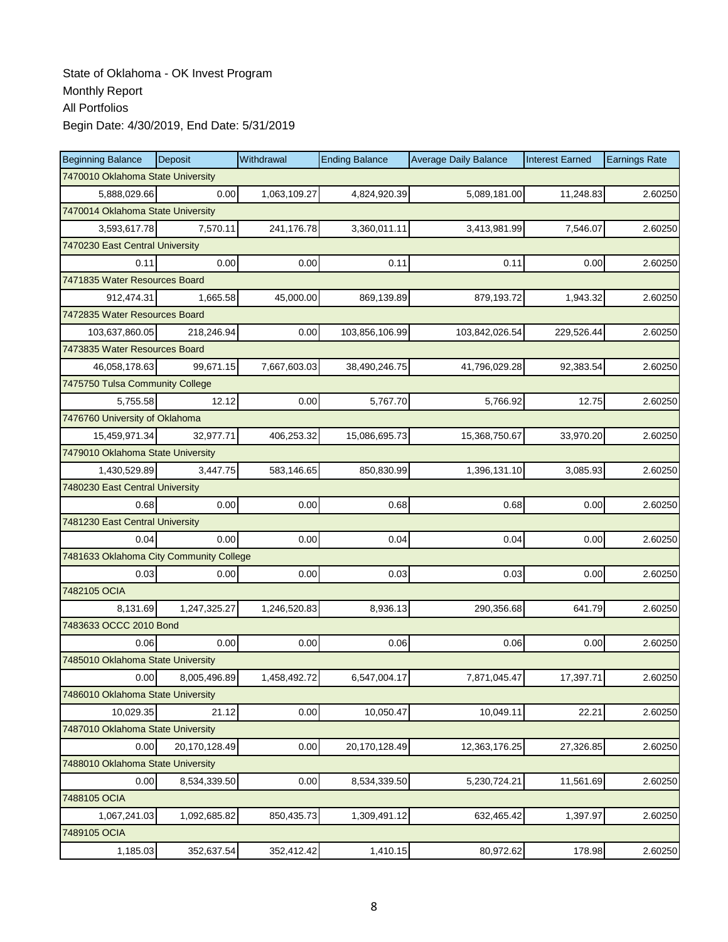| <b>Beginning Balance</b>                | Deposit       | Withdrawal   | <b>Ending Balance</b> | <b>Average Daily Balance</b> | <b>Interest Earned</b> | <b>Earnings Rate</b> |  |  |
|-----------------------------------------|---------------|--------------|-----------------------|------------------------------|------------------------|----------------------|--|--|
| 7470010 Oklahoma State University       |               |              |                       |                              |                        |                      |  |  |
| 5,888,029.66                            | 0.00          | 1,063,109.27 | 4,824,920.39          | 5,089,181.00                 | 11,248.83              | 2.60250              |  |  |
| 7470014 Oklahoma State University       |               |              |                       |                              |                        |                      |  |  |
| 3,593,617.78                            | 7,570.11      | 241,176.78   | 3,360,011.11          | 3,413,981.99                 | 7,546.07               | 2.60250              |  |  |
| 7470230 East Central University         |               |              |                       |                              |                        |                      |  |  |
| 0.11                                    | 0.00          | 0.00         | 0.11                  | 0.11                         | 0.00                   | 2.60250              |  |  |
| 7471835 Water Resources Board           |               |              |                       |                              |                        |                      |  |  |
| 912,474.31                              | 1,665.58      | 45,000.00    | 869,139.89            | 879,193.72                   | 1,943.32               | 2.60250              |  |  |
| 7472835 Water Resources Board           |               |              |                       |                              |                        |                      |  |  |
| 103,637,860.05                          | 218,246.94    | 0.00         | 103,856,106.99        | 103,842,026.54               | 229,526.44             | 2.60250              |  |  |
| 7473835 Water Resources Board           |               |              |                       |                              |                        |                      |  |  |
| 46,058,178.63                           | 99,671.15     | 7,667,603.03 | 38,490,246.75         | 41,796,029.28                | 92,383.54              | 2.60250              |  |  |
| 7475750 Tulsa Community College         |               |              |                       |                              |                        |                      |  |  |
| 5,755.58                                | 12.12         | 0.00         | 5,767.70              | 5,766.92                     | 12.75                  | 2.60250              |  |  |
| 7476760 University of Oklahoma          |               |              |                       |                              |                        |                      |  |  |
| 15,459,971.34                           | 32,977.71     | 406,253.32   | 15,086,695.73         | 15,368,750.67                | 33,970.20              | 2.60250              |  |  |
| 7479010 Oklahoma State University       |               |              |                       |                              |                        |                      |  |  |
| 1,430,529.89                            | 3,447.75      | 583,146.65   | 850,830.99            | 1,396,131.10                 | 3,085.93               | 2.60250              |  |  |
| 7480230 East Central University         |               |              |                       |                              |                        |                      |  |  |
| 0.68                                    | 0.00          | 0.00         | 0.68                  | 0.68                         | 0.00                   | 2.60250              |  |  |
| 7481230 East Central University         |               |              |                       |                              |                        |                      |  |  |
| 0.04                                    | 0.00          | 0.00         | 0.04                  | 0.04                         | 0.00                   | 2.60250              |  |  |
| 7481633 Oklahoma City Community College |               |              |                       |                              |                        |                      |  |  |
| 0.03                                    | 0.00          | 0.00         | 0.03                  | 0.03                         | 0.00                   | 2.60250              |  |  |
| 7482105 OCIA                            |               |              |                       |                              |                        |                      |  |  |
| 8,131.69                                | 1,247,325.27  | 1,246,520.83 | 8,936.13              | 290,356.68                   | 641.79                 | 2.60250              |  |  |
| 7483633 OCCC 2010 Bond                  |               |              |                       |                              |                        |                      |  |  |
| 0.06                                    | 0.00          | 0.00         | 0.06                  | 0.06                         | 0.00                   | 2.60250              |  |  |
| 7485010 Oklahoma State University       |               |              |                       |                              |                        |                      |  |  |
| 0.00                                    | 8,005,496.89  | 1,458,492.72 | 6,547,004.17          | 7,871,045.47                 | 17,397.71              | 2.60250              |  |  |
| 7486010 Oklahoma State University       |               |              |                       |                              |                        |                      |  |  |
| 10,029.35                               | 21.12         | 0.00         | 10,050.47             | 10,049.11                    | 22.21                  | 2.60250              |  |  |
| 7487010 Oklahoma State University       |               |              |                       |                              |                        |                      |  |  |
| 0.00                                    | 20,170,128.49 | 0.00         | 20,170,128.49         | 12,363,176.25                | 27,326.85              | 2.60250              |  |  |
| 7488010 Oklahoma State University       |               |              |                       |                              |                        |                      |  |  |
| 0.00                                    | 8,534,339.50  | 0.00         | 8,534,339.50          | 5,230,724.21                 | 11,561.69              | 2.60250              |  |  |
| 7488105 OCIA                            |               |              |                       |                              |                        |                      |  |  |
| 1,067,241.03                            | 1,092,685.82  | 850,435.73   | 1,309,491.12          | 632,465.42                   | 1,397.97               | 2.60250              |  |  |
| 7489105 OCIA                            |               |              |                       |                              |                        |                      |  |  |
| 1,185.03                                | 352,637.54    | 352,412.42   | 1,410.15              | 80,972.62                    | 178.98                 | 2.60250              |  |  |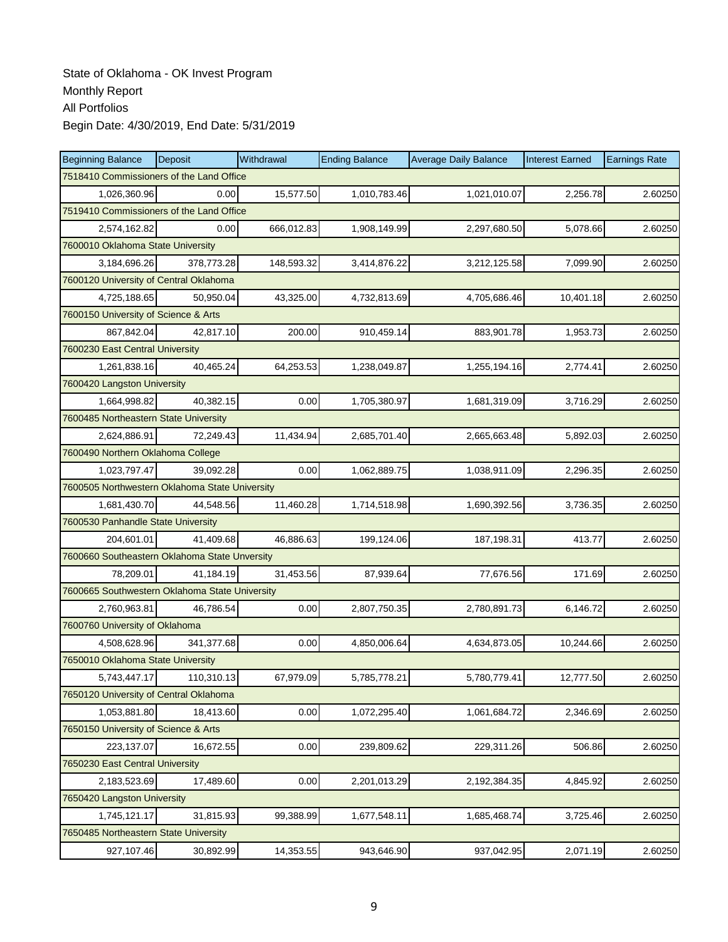| <b>Beginning Balance</b>                       | Deposit    | Withdrawal | <b>Ending Balance</b> | <b>Average Daily Balance</b> | <b>Interest Earned</b> | <b>Earnings Rate</b> |  |  |  |
|------------------------------------------------|------------|------------|-----------------------|------------------------------|------------------------|----------------------|--|--|--|
| 7518410 Commissioners of the Land Office       |            |            |                       |                              |                        |                      |  |  |  |
| 1,026,360.96                                   | 0.00       | 15,577.50  | 1,010,783.46          | 1,021,010.07                 | 2,256.78               | 2.60250              |  |  |  |
| 7519410 Commissioners of the Land Office       |            |            |                       |                              |                        |                      |  |  |  |
| 2,574,162.82                                   | 0.00       | 666,012.83 | 1,908,149.99          | 2,297,680.50                 | 5,078.66               | 2.60250              |  |  |  |
| 7600010 Oklahoma State University              |            |            |                       |                              |                        |                      |  |  |  |
| 3,184,696.26                                   | 378,773.28 | 148,593.32 | 3,414,876.22          | 3,212,125.58                 | 7,099.90               | 2.60250              |  |  |  |
| 7600120 University of Central Oklahoma         |            |            |                       |                              |                        |                      |  |  |  |
| 4,725,188.65                                   | 50.950.04  | 43,325.00  | 4,732,813.69          | 4,705,686.46                 | 10,401.18              | 2.60250              |  |  |  |
| 7600150 University of Science & Arts           |            |            |                       |                              |                        |                      |  |  |  |
| 867,842.04                                     | 42,817.10  | 200.00     | 910,459.14            | 883,901.78                   | 1,953.73               | 2.60250              |  |  |  |
| 7600230 East Central University                |            |            |                       |                              |                        |                      |  |  |  |
| 1,261,838.16                                   | 40,465.24  | 64,253.53  | 1,238,049.87          | 1,255,194.16                 | 2,774.41               | 2.60250              |  |  |  |
| 7600420 Langston University                    |            |            |                       |                              |                        |                      |  |  |  |
| 1,664,998.82                                   | 40.382.15  | 0.00       | 1,705,380.97          | 1,681,319.09                 | 3,716.29               | 2.60250              |  |  |  |
| 7600485 Northeastern State University          |            |            |                       |                              |                        |                      |  |  |  |
| 2,624,886.91                                   | 72,249.43  | 11,434.94  | 2,685,701.40          | 2,665,663.48                 | 5,892.03               | 2.60250              |  |  |  |
| 7600490 Northern Oklahoma College              |            |            |                       |                              |                        |                      |  |  |  |
| 1,023,797.47                                   | 39,092.28  | 0.00       | 1,062,889.75          | 1,038,911.09                 | 2,296.35               | 2.60250              |  |  |  |
| 7600505 Northwestern Oklahoma State University |            |            |                       |                              |                        |                      |  |  |  |
| 1,681,430.70                                   | 44,548.56  | 11,460.28  | 1,714,518.98          | 1,690,392.56                 | 3,736.35               | 2.60250              |  |  |  |
| 7600530 Panhandle State University             |            |            |                       |                              |                        |                      |  |  |  |
| 204,601.01                                     | 41.409.68  | 46,886.63  | 199,124.06            | 187,198.31                   | 413.77                 | 2.60250              |  |  |  |
| 7600660 Southeastern Oklahoma State Unversity  |            |            |                       |                              |                        |                      |  |  |  |
| 78,209.01                                      | 41,184.19  | 31,453.56  | 87,939.64             | 77,676.56                    | 171.69                 | 2.60250              |  |  |  |
| 7600665 Southwestern Oklahoma State University |            |            |                       |                              |                        |                      |  |  |  |
| 2,760,963.81                                   | 46,786.54  | 0.00       | 2,807,750.35          | 2,780,891.73                 | 6,146.72               | 2.60250              |  |  |  |
| 7600760 University of Oklahoma                 |            |            |                       |                              |                        |                      |  |  |  |
| 4,508,628.96                                   | 341,377.68 | 0.00       | 4,850,006.64          | 4,634,873.05                 | 10,244.66              | 2.60250              |  |  |  |
| 7650010 Oklahoma State University              |            |            |                       |                              |                        |                      |  |  |  |
| 5,743,447.17                                   | 110,310.13 | 67,979.09  | 5,785,778.21          | 5,780,779.41                 | 12,777.50              | 2.60250              |  |  |  |
| 7650120 University of Central Oklahoma         |            |            |                       |                              |                        |                      |  |  |  |
| 1,053,881.80                                   | 18,413.60  | 0.00       | 1,072,295.40          | 1,061,684.72                 | 2,346.69               | 2.60250              |  |  |  |
| 7650150 University of Science & Arts           |            |            |                       |                              |                        |                      |  |  |  |
| 223,137.07                                     | 16,672.55  | 0.00       | 239,809.62            | 229,311.26                   | 506.86                 | 2.60250              |  |  |  |
| 7650230 East Central University                |            |            |                       |                              |                        |                      |  |  |  |
| 2,183,523.69                                   | 17,489.60  | 0.00       | 2,201,013.29          | 2,192,384.35                 | 4,845.92               | 2.60250              |  |  |  |
| 7650420 Langston University                    |            |            |                       |                              |                        |                      |  |  |  |
| 1,745,121.17                                   | 31,815.93  | 99,388.99  | 1,677,548.11          | 1,685,468.74                 | 3,725.46               | 2.60250              |  |  |  |
| 7650485 Northeastern State University          |            |            |                       |                              |                        |                      |  |  |  |
| 927,107.46                                     | 30,892.99  | 14,353.55  | 943,646.90            | 937,042.95                   | 2,071.19               | 2.60250              |  |  |  |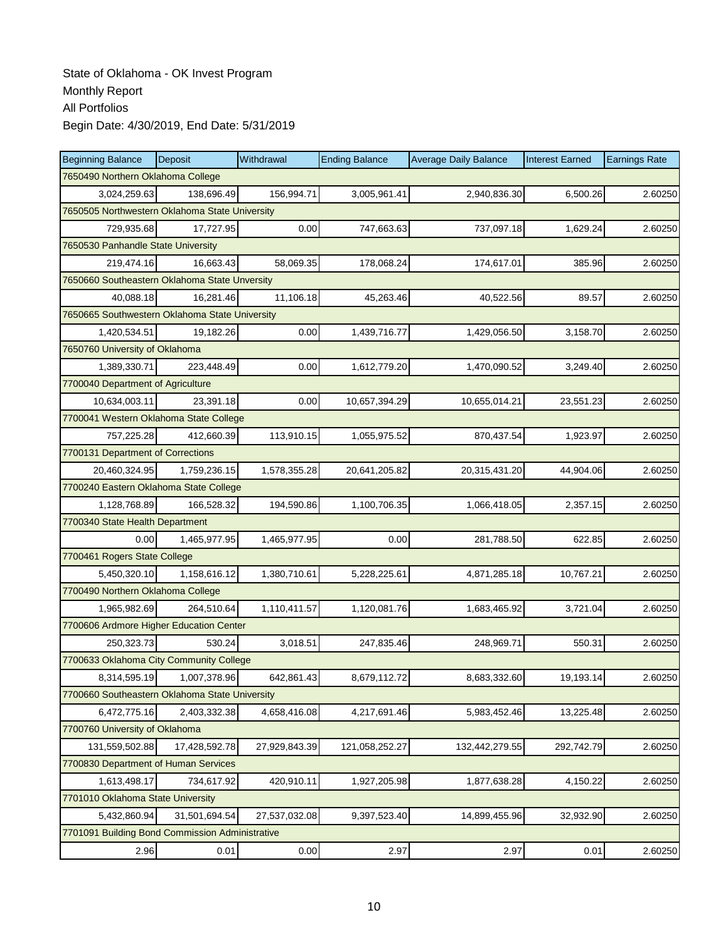| <b>Beginning Balance</b>                        | <b>Deposit</b> | Withdrawal    | <b>Ending Balance</b> | <b>Average Daily Balance</b> | <b>Interest Earned</b> | <b>Earnings Rate</b> |  |  |
|-------------------------------------------------|----------------|---------------|-----------------------|------------------------------|------------------------|----------------------|--|--|
| 7650490 Northern Oklahoma College               |                |               |                       |                              |                        |                      |  |  |
| 3,024,259.63                                    | 138,696.49     | 156,994.71    | 3,005,961.41          | 2,940,836.30                 | 6,500.26               | 2.60250              |  |  |
| 7650505 Northwestern Oklahoma State University  |                |               |                       |                              |                        |                      |  |  |
| 729,935.68                                      | 17,727.95      | 0.00          | 747,663.63            | 737,097.18                   | 1,629.24               | 2.60250              |  |  |
| 7650530 Panhandle State University              |                |               |                       |                              |                        |                      |  |  |
| 219,474.16                                      | 16,663.43      | 58,069.35     | 178,068.24            | 174,617.01                   | 385.96                 | 2.60250              |  |  |
| 7650660 Southeastern Oklahoma State Unversity   |                |               |                       |                              |                        |                      |  |  |
| 40,088.18                                       | 16,281.46      | 11,106.18     | 45,263.46             | 40,522.56                    | 89.57                  | 2.60250              |  |  |
| 7650665 Southwestern Oklahoma State University  |                |               |                       |                              |                        |                      |  |  |
| 1,420,534.51                                    | 19,182.26      | 0.00          | 1,439,716.77          | 1,429,056.50                 | 3,158.70               | 2.60250              |  |  |
| 7650760 University of Oklahoma                  |                |               |                       |                              |                        |                      |  |  |
| 1,389,330.71                                    | 223,448.49     | 0.00          | 1,612,779.20          | 1,470,090.52                 | 3,249.40               | 2.60250              |  |  |
| 7700040 Department of Agriculture               |                |               |                       |                              |                        |                      |  |  |
| 10,634,003.11                                   | 23,391.18      | 0.00          | 10,657,394.29         | 10,655,014.21                | 23,551.23              | 2.60250              |  |  |
| 7700041 Western Oklahoma State College          |                |               |                       |                              |                        |                      |  |  |
| 757,225.28                                      | 412,660.39     | 113,910.15    | 1,055,975.52          | 870,437.54                   | 1,923.97               | 2.60250              |  |  |
| 7700131 Department of Corrections               |                |               |                       |                              |                        |                      |  |  |
| 20,460,324.95                                   | 1,759,236.15   | 1,578,355.28  | 20,641,205.82         | 20,315,431.20                | 44,904.06              | 2.60250              |  |  |
| 7700240 Eastern Oklahoma State College          |                |               |                       |                              |                        |                      |  |  |
| 1,128,768.89                                    | 166,528.32     | 194,590.86    | 1,100,706.35          | 1,066,418.05                 | 2,357.15               | 2.60250              |  |  |
| 7700340 State Health Department                 |                |               |                       |                              |                        |                      |  |  |
| 0.00                                            | 1,465,977.95   | 1,465,977.95  | 0.00                  | 281,788.50                   | 622.85                 | 2.60250              |  |  |
| 7700461 Rogers State College                    |                |               |                       |                              |                        |                      |  |  |
| 5,450,320.10                                    | 1,158,616.12   | 1,380,710.61  | 5,228,225.61          | 4,871,285.18                 | 10,767.21              | 2.60250              |  |  |
| 7700490 Northern Oklahoma College               |                |               |                       |                              |                        |                      |  |  |
| 1,965,982.69                                    | 264,510.64     | 1,110,411.57  | 1,120,081.76          | 1,683,465.92                 | 3,721.04               | 2.60250              |  |  |
| 7700606 Ardmore Higher Education Center         |                |               |                       |                              |                        |                      |  |  |
| 250,323.73                                      | 530.24         | 3,018.51      | 247,835.46            | 248,969.71                   | 550.31                 | 2.60250              |  |  |
| 7700633 Oklahoma City Community College         |                |               |                       |                              |                        |                      |  |  |
| 8,314,595.19                                    | 1,007,378.96   | 642,861.43    | 8,679,112.72          | 8,683,332.60                 | 19,193.14              | 2.60250              |  |  |
| 7700660 Southeastern Oklahoma State University  |                |               |                       |                              |                        |                      |  |  |
| 6,472,775.16                                    | 2,403,332.38   | 4,658,416.08  | 4,217,691.46          | 5,983,452.46                 | 13,225.48              | 2.60250              |  |  |
| 7700760 University of Oklahoma                  |                |               |                       |                              |                        |                      |  |  |
| 131,559,502.88                                  | 17,428,592.78  | 27,929,843.39 | 121,058,252.27        | 132,442,279.55               | 292,742.79             | 2.60250              |  |  |
| 7700830 Department of Human Services            |                |               |                       |                              |                        |                      |  |  |
| 1,613,498.17                                    | 734,617.92     | 420,910.11    | 1,927,205.98          | 1,877,638.28                 | 4,150.22               | 2.60250              |  |  |
| 7701010 Oklahoma State University               |                |               |                       |                              |                        |                      |  |  |
| 5,432,860.94                                    | 31,501,694.54  | 27,537,032.08 | 9,397,523.40          | 14,899,455.96                | 32,932.90              | 2.60250              |  |  |
| 7701091 Building Bond Commission Administrative |                |               |                       |                              |                        |                      |  |  |
| 2.96                                            | 0.01           | 0.00          | 2.97                  | 2.97                         | 0.01                   | 2.60250              |  |  |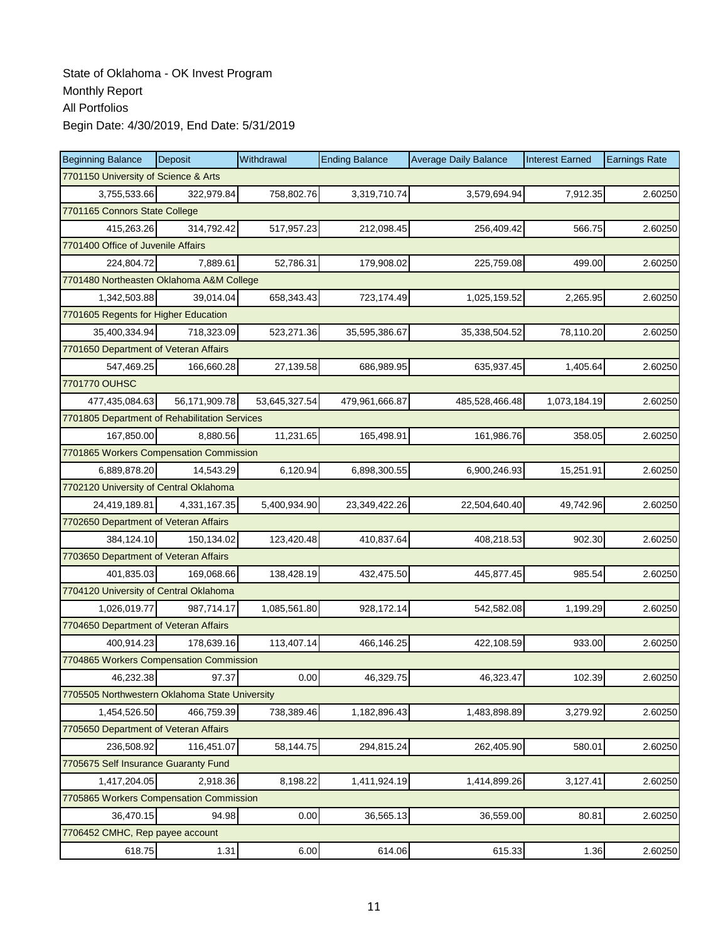| <b>Beginning Balance</b>                       | Deposit                            | Withdrawal    | <b>Ending Balance</b> | <b>Average Daily Balance</b> | <b>Interest Earned</b> | <b>Earnings Rate</b> |  |  |  |  |
|------------------------------------------------|------------------------------------|---------------|-----------------------|------------------------------|------------------------|----------------------|--|--|--|--|
| 7701150 University of Science & Arts           |                                    |               |                       |                              |                        |                      |  |  |  |  |
| 3,755,533.66                                   | 322,979.84                         | 758,802.76    | 3,319,710.74          | 3,579,694.94                 | 7,912.35               | 2.60250              |  |  |  |  |
| 7701165 Connors State College                  |                                    |               |                       |                              |                        |                      |  |  |  |  |
| 415,263.26                                     | 314,792.42                         | 517,957.23    | 212,098.45            | 256,409.42                   | 566.75                 | 2.60250              |  |  |  |  |
|                                                | 7701400 Office of Juvenile Affairs |               |                       |                              |                        |                      |  |  |  |  |
| 224,804.72                                     | 7,889.61                           | 52,786.31     | 179,908.02            | 225,759.08                   | 499.00                 | 2.60250              |  |  |  |  |
| 7701480 Northeasten Oklahoma A&M College       |                                    |               |                       |                              |                        |                      |  |  |  |  |
| 1,342,503.88                                   | 39,014.04                          | 658,343.43    | 723,174.49            | 1,025,159.52                 | 2,265.95               | 2.60250              |  |  |  |  |
| 7701605 Regents for Higher Education           |                                    |               |                       |                              |                        |                      |  |  |  |  |
| 35,400,334.94                                  | 718,323.09                         | 523,271.36    | 35,595,386.67         | 35,338,504.52                | 78,110.20              | 2.60250              |  |  |  |  |
| 7701650 Department of Veteran Affairs          |                                    |               |                       |                              |                        |                      |  |  |  |  |
| 547,469.25                                     | 166,660.28                         | 27,139.58     | 686,989.95            | 635,937.45                   | 1,405.64               | 2.60250              |  |  |  |  |
| 7701770 OUHSC                                  |                                    |               |                       |                              |                        |                      |  |  |  |  |
| 477,435,084.63                                 | 56,171,909.78                      | 53,645,327.54 | 479,961,666.87        | 485,528,466.48               | 1,073,184.19           | 2.60250              |  |  |  |  |
| 7701805 Department of Rehabilitation Services  |                                    |               |                       |                              |                        |                      |  |  |  |  |
| 167,850.00                                     | 8,880.56                           | 11,231.65     | 165,498.91            | 161,986.76                   | 358.05                 | 2.60250              |  |  |  |  |
| 7701865 Workers Compensation Commission        |                                    |               |                       |                              |                        |                      |  |  |  |  |
| 6,889,878.20                                   | 14,543.29                          | 6,120.94      | 6,898,300.55          | 6,900,246.93                 | 15,251.91              | 2.60250              |  |  |  |  |
| 7702120 University of Central Oklahoma         |                                    |               |                       |                              |                        |                      |  |  |  |  |
| 24,419,189.81                                  | 4,331,167.35                       | 5,400,934.90  | 23,349,422.26         | 22,504,640.40                | 49,742.96              | 2.60250              |  |  |  |  |
| 7702650 Department of Veteran Affairs          |                                    |               |                       |                              |                        |                      |  |  |  |  |
| 384,124.10                                     | 150,134.02                         | 123,420.48    | 410,837.64            | 408,218.53                   | 902.30                 | 2.60250              |  |  |  |  |
| 7703650 Department of Veteran Affairs          |                                    |               |                       |                              |                        |                      |  |  |  |  |
| 401,835.03                                     | 169,068.66                         | 138,428.19    | 432,475.50            | 445,877.45                   | 985.54                 | 2.60250              |  |  |  |  |
| 7704120 University of Central Oklahoma         |                                    |               |                       |                              |                        |                      |  |  |  |  |
| 1,026,019.77                                   | 987,714.17                         | 1,085,561.80  | 928,172.14            | 542,582.08                   | 1,199.29               | 2.60250              |  |  |  |  |
| 7704650 Department of Veteran Affairs          |                                    |               |                       |                              |                        |                      |  |  |  |  |
| 400,914.23                                     | 178.639.16                         | 113,407.14    | 466,146.25            | 422,108.59                   | 933.00                 | 2.60250              |  |  |  |  |
| 7704865 Workers Compensation Commission        |                                    |               |                       |                              |                        |                      |  |  |  |  |
| 46,232.38                                      | 97.37                              | 0.00          | 46,329.75             | 46,323.47                    | 102.39                 | 2.60250              |  |  |  |  |
| 7705505 Northwestern Oklahoma State University |                                    |               |                       |                              |                        |                      |  |  |  |  |
| 1,454,526.50                                   | 466,759.39                         | 738,389.46    | 1,182,896.43          | 1,483,898.89                 | 3,279.92               | 2.60250              |  |  |  |  |
| 7705650 Department of Veteran Affairs          |                                    |               |                       |                              |                        |                      |  |  |  |  |
| 236,508.92                                     | 116,451.07                         | 58,144.75     | 294,815.24            | 262,405.90                   | 580.01                 | 2.60250              |  |  |  |  |
| 7705675 Self Insurance Guaranty Fund           |                                    |               |                       |                              |                        |                      |  |  |  |  |
| 1,417,204.05                                   | 2,918.36                           | 8,198.22      | 1,411,924.19          | 1,414,899.26                 | 3,127.41               | 2.60250              |  |  |  |  |
| 7705865 Workers Compensation Commission        |                                    |               |                       |                              |                        |                      |  |  |  |  |
| 36,470.15                                      | 94.98                              | 0.00          | 36,565.13             | 36,559.00                    | 80.81                  | 2.60250              |  |  |  |  |
| 7706452 CMHC, Rep payee account                |                                    |               |                       |                              |                        |                      |  |  |  |  |
| 618.75                                         | $1.31$                             | 6.00          | 614.06                | 615.33                       | 1.36                   | 2.60250              |  |  |  |  |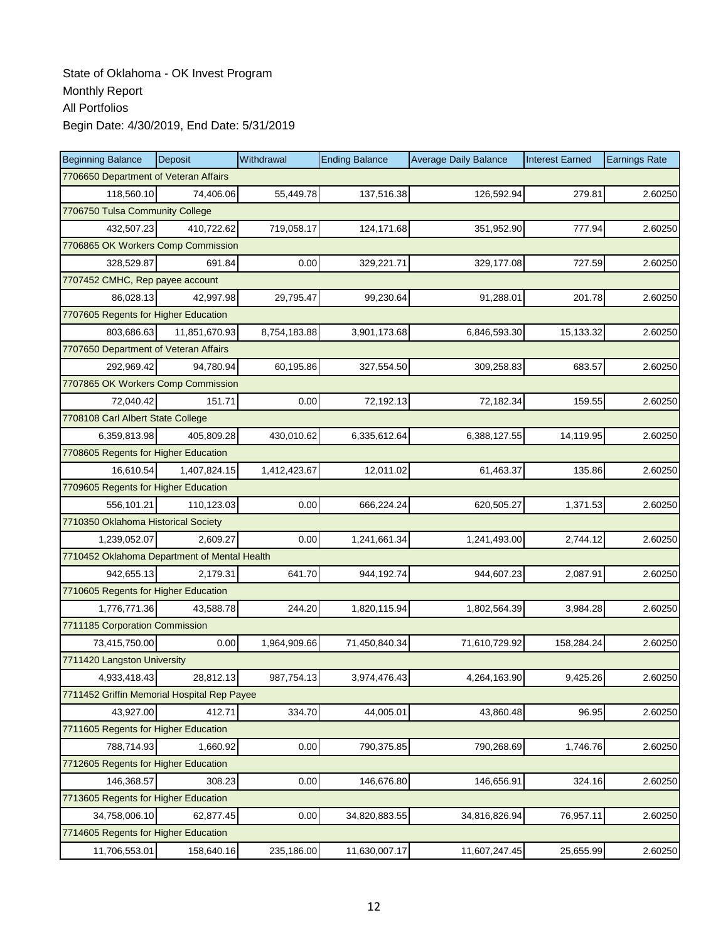| <b>Beginning Balance</b>                     | Deposit       | Withdrawal   | <b>Ending Balance</b> | <b>Average Daily Balance</b> | <b>Interest Earned</b> | <b>Earnings Rate</b> |  |  |  |
|----------------------------------------------|---------------|--------------|-----------------------|------------------------------|------------------------|----------------------|--|--|--|
| 7706650 Department of Veteran Affairs        |               |              |                       |                              |                        |                      |  |  |  |
| 118,560.10                                   | 74,406.06     | 55,449.78    | 137,516.38            | 126,592.94                   | 279.81                 | 2.60250              |  |  |  |
| 7706750 Tulsa Community College              |               |              |                       |                              |                        |                      |  |  |  |
| 432,507.23                                   | 410,722.62    | 719,058.17   | 124,171.68            | 351,952.90                   | 777.94                 | 2.60250              |  |  |  |
| 7706865 OK Workers Comp Commission           |               |              |                       |                              |                        |                      |  |  |  |
| 328,529.87                                   | 691.84        | 0.00         | 329,221.71            | 329,177.08                   | 727.59                 | 2.60250              |  |  |  |
| 7707452 CMHC, Rep payee account              |               |              |                       |                              |                        |                      |  |  |  |
| 86,028.13                                    | 42.997.98     | 29,795.47    | 99,230.64             | 91,288.01                    | 201.78                 | 2.60250              |  |  |  |
| 7707605 Regents for Higher Education         |               |              |                       |                              |                        |                      |  |  |  |
| 803,686.63                                   | 11,851,670.93 | 8,754,183.88 | 3,901,173.68          | 6,846,593.30                 | 15,133.32              | 2.60250              |  |  |  |
| 7707650 Department of Veteran Affairs        |               |              |                       |                              |                        |                      |  |  |  |
| 292,969.42                                   | 94,780.94     | 60,195.86    | 327,554.50            | 309,258.83                   | 683.57                 | 2.60250              |  |  |  |
| 7707865 OK Workers Comp Commission           |               |              |                       |                              |                        |                      |  |  |  |
| 72,040.42                                    | 151.71        | 0.00         | 72,192.13             | 72,182.34                    | 159.55                 | 2.60250              |  |  |  |
| 7708108 Carl Albert State College            |               |              |                       |                              |                        |                      |  |  |  |
| 6,359,813.98                                 | 405,809.28    | 430,010.62   | 6,335,612.64          | 6,388,127.55                 | 14,119.95              | 2.60250              |  |  |  |
| 7708605 Regents for Higher Education         |               |              |                       |                              |                        |                      |  |  |  |
| 16,610.54                                    | 1,407,824.15  | 1,412,423.67 | 12,011.02             | 61,463.37                    | 135.86                 | 2.60250              |  |  |  |
| 7709605 Regents for Higher Education         |               |              |                       |                              |                        |                      |  |  |  |
| 556,101.21                                   | 110,123.03    | 0.00         | 666,224.24            | 620,505.27                   | 1,371.53               | 2.60250              |  |  |  |
| 7710350 Oklahoma Historical Society          |               |              |                       |                              |                        |                      |  |  |  |
| 1,239,052.07                                 | 2,609.27      | 0.00         | 1,241,661.34          | 1,241,493.00                 | 2,744.12               | 2.60250              |  |  |  |
| 7710452 Oklahoma Department of Mental Health |               |              |                       |                              |                        |                      |  |  |  |
| 942,655.13                                   | 2,179.31      | 641.70       | 944,192.74            | 944,607.23                   | 2,087.91               | 2.60250              |  |  |  |
| 7710605 Regents for Higher Education         |               |              |                       |                              |                        |                      |  |  |  |
| 1,776,771.36                                 | 43,588.78     | 244.20       | 1,820,115.94          | 1,802,564.39                 | 3,984.28               | 2.60250              |  |  |  |
| 7711185 Corporation Commission               |               |              |                       |                              |                        |                      |  |  |  |
| 73,415,750.00                                | 0.00          | 1,964,909.66 | 71,450,840.34         | 71,610,729.92                | 158,284.24             | 2.60250              |  |  |  |
| 7711420 Langston University                  |               |              |                       |                              |                        |                      |  |  |  |
| 4,933,418.43                                 | 28,812.13     | 987,754.13   | 3,974,476.43          | 4,264,163.90                 | 9,425.26               | 2.60250              |  |  |  |
| 7711452 Griffin Memorial Hospital Rep Payee  |               |              |                       |                              |                        |                      |  |  |  |
| 43,927.00                                    | 412.71        | 334.70       | 44,005.01             | 43,860.48                    | 96.95                  | 2.60250              |  |  |  |
| 7711605 Regents for Higher Education         |               |              |                       |                              |                        |                      |  |  |  |
| 788,714.93                                   | 1.660.92      | 0.00         | 790,375.85            | 790,268.69                   | 1,746.76               | 2.60250              |  |  |  |
| 7712605 Regents for Higher Education         |               |              |                       |                              |                        |                      |  |  |  |
| 146,368.57                                   | 308.23        | 0.00         | 146,676.80            | 146,656.91                   | 324.16                 | 2.60250              |  |  |  |
| 7713605 Regents for Higher Education         |               |              |                       |                              |                        |                      |  |  |  |
| 34,758,006.10                                | 62,877.45     | 0.00         | 34,820,883.55         | 34,816,826.94                | 76,957.11              | 2.60250              |  |  |  |
| 7714605 Regents for Higher Education         |               |              |                       |                              |                        |                      |  |  |  |
| 11,706,553.01                                | 158,640.16    | 235,186.00   | 11,630,007.17         | 11,607,247.45                | 25,655.99              | 2.60250              |  |  |  |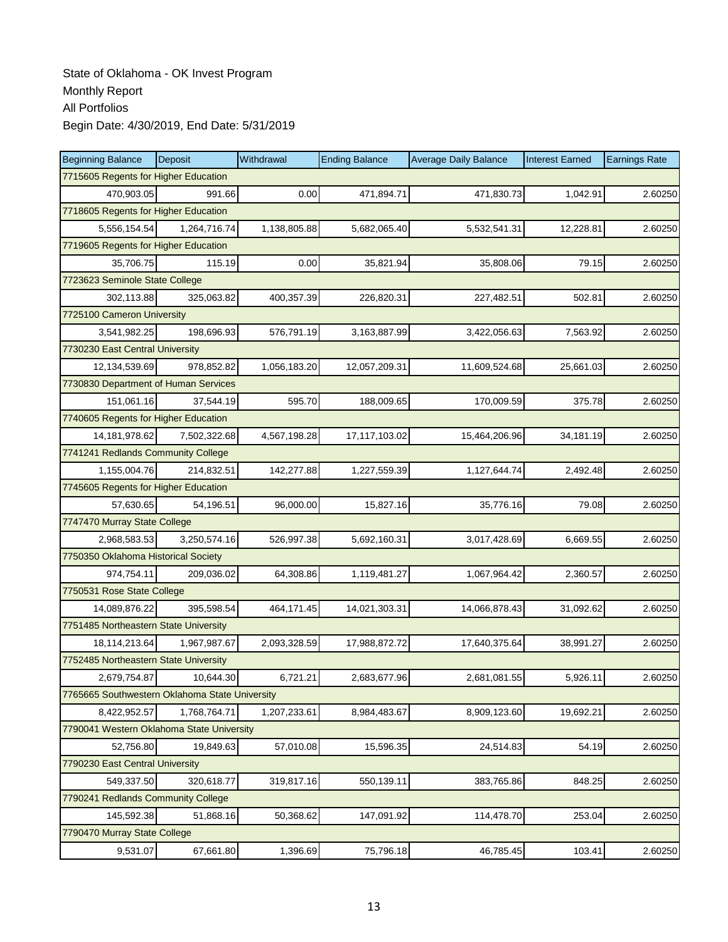| <b>Beginning Balance</b>                       | Deposit      | Withdrawal   | <b>Ending Balance</b> | <b>Average Daily Balance</b> | <b>Interest Earned</b> | <b>Earnings Rate</b> |  |  |  |  |
|------------------------------------------------|--------------|--------------|-----------------------|------------------------------|------------------------|----------------------|--|--|--|--|
| 7715605 Regents for Higher Education           |              |              |                       |                              |                        |                      |  |  |  |  |
| 470,903.05                                     | 991.66       | 0.00         | 471,894.71            | 471,830.73                   | 1,042.91               | 2.60250              |  |  |  |  |
| 7718605 Regents for Higher Education           |              |              |                       |                              |                        |                      |  |  |  |  |
| 5,556,154.54                                   | 1,264,716.74 | 1,138,805.88 | 5,682,065.40          | 5,532,541.31                 | 12,228.81              | 2.60250              |  |  |  |  |
| 7719605 Regents for Higher Education           |              |              |                       |                              |                        |                      |  |  |  |  |
| 35,706.75                                      | 115.19       | 0.00         | 35,821.94             | 35,808.06                    | 79.15                  | 2.60250              |  |  |  |  |
| 7723623 Seminole State College                 |              |              |                       |                              |                        |                      |  |  |  |  |
| 302,113.88                                     | 325,063.82   | 400,357.39   | 226,820.31            | 227,482.51                   | 502.81                 | 2.60250              |  |  |  |  |
| 7725100 Cameron University                     |              |              |                       |                              |                        |                      |  |  |  |  |
| 3,541,982.25                                   | 198,696.93   | 576,791.19   | 3,163,887.99          | 3,422,056.63                 | 7,563.92               | 2.60250              |  |  |  |  |
| 7730230 East Central University                |              |              |                       |                              |                        |                      |  |  |  |  |
| 12,134,539.69                                  | 978,852.82   | 1,056,183.20 | 12,057,209.31         | 11,609,524.68                | 25,661.03              | 2.60250              |  |  |  |  |
| 7730830 Department of Human Services           |              |              |                       |                              |                        |                      |  |  |  |  |
| 151,061.16                                     | 37,544.19    | 595.70       | 188,009.65            | 170,009.59                   | 375.78                 | 2.60250              |  |  |  |  |
| 7740605 Regents for Higher Education           |              |              |                       |                              |                        |                      |  |  |  |  |
| 14, 181, 978.62                                | 7,502,322.68 | 4,567,198.28 | 17,117,103.02         | 15,464,206.96                | 34,181.19              | 2.60250              |  |  |  |  |
| 7741241 Redlands Community College             |              |              |                       |                              |                        |                      |  |  |  |  |
| 1,155,004.76                                   | 214,832.51   | 142,277.88   | 1,227,559.39          | 1,127,644.74                 | 2,492.48               | 2.60250              |  |  |  |  |
| 7745605 Regents for Higher Education           |              |              |                       |                              |                        |                      |  |  |  |  |
| 57,630.65                                      | 54,196.51    | 96,000.00    | 15,827.16             | 35,776.16                    | 79.08                  | 2.60250              |  |  |  |  |
| 7747470 Murray State College                   |              |              |                       |                              |                        |                      |  |  |  |  |
| 2,968,583.53                                   | 3,250,574.16 | 526,997.38   | 5,692,160.31          | 3,017,428.69                 | 6,669.55               | 2.60250              |  |  |  |  |
| 7750350 Oklahoma Historical Society            |              |              |                       |                              |                        |                      |  |  |  |  |
| 974,754.11                                     | 209,036.02   | 64,308.86    | 1,119,481.27          | 1,067,964.42                 | 2,360.57               | 2.60250              |  |  |  |  |
| 7750531 Rose State College                     |              |              |                       |                              |                        |                      |  |  |  |  |
| 14,089,876.22                                  | 395,598.54   | 464,171.45   | 14,021,303.31         | 14,066,878.43                | 31,092.62              | 2.60250              |  |  |  |  |
| 7751485 Northeastern State University          |              |              |                       |                              |                        |                      |  |  |  |  |
| 18,114,213.64                                  | 1,967,987.67 | 2,093,328.59 | 17,988,872.72         | 17,640,375.64                | 38,991.27              | 2.60250              |  |  |  |  |
| 7752485 Northeastern State University          |              |              |                       |                              |                        |                      |  |  |  |  |
| 2,679,754.87                                   | 10,644.30    | 6,721.21     | 2,683,677.96          | 2,681,081.55                 | 5,926.11               | 2.60250              |  |  |  |  |
| 7765665 Southwestern Oklahoma State University |              |              |                       |                              |                        |                      |  |  |  |  |
| 8,422,952.57                                   | 1,768,764.71 | 1,207,233.61 | 8,984,483.67          | 8,909,123.60                 | 19,692.21              | 2.60250              |  |  |  |  |
| 7790041 Western Oklahoma State University      |              |              |                       |                              |                        |                      |  |  |  |  |
| 52,756.80                                      | 19,849.63    | 57,010.08    | 15,596.35             | 24,514.83                    | 54.19                  | 2.60250              |  |  |  |  |
| 7790230 East Central University                |              |              |                       |                              |                        |                      |  |  |  |  |
| 549,337.50                                     | 320,618.77   | 319,817.16   | 550,139.11            | 383,765.86                   | 848.25                 | 2.60250              |  |  |  |  |
| 7790241 Redlands Community College             |              |              |                       |                              |                        |                      |  |  |  |  |
| 145,592.38                                     | 51,868.16    | 50,368.62    | 147,091.92            | 114,478.70                   | 253.04                 | 2.60250              |  |  |  |  |
| 7790470 Murray State College                   |              |              |                       |                              |                        |                      |  |  |  |  |
| 9,531.07                                       | 67,661.80    | 1,396.69     | 75,796.18             | 46,785.45                    | 103.41                 | 2.60250              |  |  |  |  |